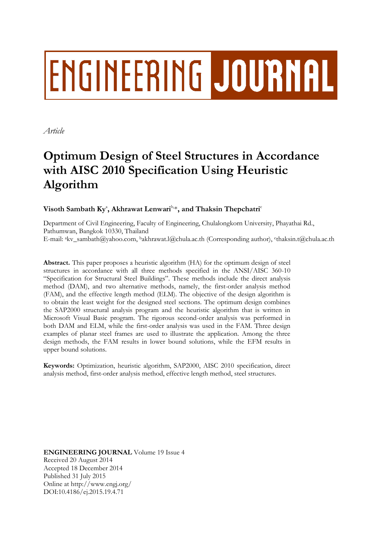# **ENGINEERING JOURNAL**

*Article*

## **Optimum Design of Steel Structures in Accordance with AISC 2010 Specification Using Heuristic Algorithm**

Visoth Sambath Ky<sup>a</sup>, Akhrawat Lenwari<sup>b, \*</sup>, and Thaksin Thepchatri<sup>c</sup>

Department of Civil Engineering, Faculty of Engineering, Chulalongkorn University, Phayathai Rd., Pathumwan, Bangkok 10330, Thailand E-mail: akv\_sambath@yahoo.com, <sup>b</sup>akhrawat.l@chula.ac.th (Corresponding author), c thaksin.t@chula.ac.th

**Abstract.** This paper proposes a heuristic algorithm (HA) for the optimum design of steel structures in accordance with all three methods specified in the ANSI/AISC 360-10 "Specification for Structural Steel Buildings". These methods include the direct analysis method (DAM), and two alternative methods, namely, the first-order analysis method (FAM), and the effective length method (ELM). The objective of the design algorithm is to obtain the least weight for the designed steel sections. The optimum design combines the SAP2000 structural analysis program and the heuristic algorithm that is written in Microsoft Visual Basic program. The rigorous second-order analysis was performed in both DAM and ELM, while the first-order analysis was used in the FAM. Three design examples of planar steel frames are used to illustrate the application. Among the three design methods, the FAM results in lower bound solutions, while the EFM results in upper bound solutions.

**Keywords:** Optimization, heuristic algorithm, SAP2000, AISC 2010 specification, direct analysis method, first-order analysis method, effective length method, steel structures.

**ENGINEERING JOURNAL** Volume 19 Issue 4 Received 20 August 2014 Accepted 18 December 2014 Published 31 July 2015 Online at http://www.engj.org/ DOI:10.4186/ej.2015.19.4.71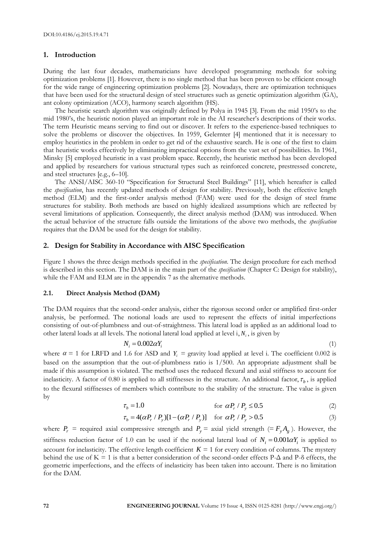#### **1. Introduction**

During the last four decades, mathematicians have developed programming methods for solving optimization problems [1]. However, there is no single method that has been proven to be efficient enough for the wide range of engineering optimization problems [2]. Nowadays, there are optimization techniques that have been used for the structural design of steel structures such as genetic optimization algorithm (GA), ant colony optimization (ACO), harmony search algorithm (HS).

The heuristic search algorithm was originally defined by Polya in 1945 [3]. From the mid 1950's to the mid 1980's, the heuristic notion played an important role in the AI researcher's descriptions of their works. The term Heuristic means serving to find out or discover. It refers to the experience-based techniques to solve the problems or discover the objectives. In 1959, Gelernter [4] mentioned that it is necessary to employ heuristics in the problem in order to get rid of the exhaustive search. He is one of the first to claim that heuristic works effectively by eliminating impractical options from the vast set of possibilities. In 1961, Minsky [5] employed heuristic in a vast problem space. Recently, the heuristic method has been developed and applied by researchers for various structural types such as reinforced concrete, prestressed concrete, and steel structures [e.g., 6–10].

The ANSI/AISC 360-10 "Specification for Structural Steel Buildings" [11], which hereafter is called the *specification*, has recently updated methods of design for stability. Previously, both the effective length method (ELM) and the first-order analysis method (FAM) were used for the design of steel frame structures for stability. Both methods are based on highly idealized assumptions which are reflected by several limitations of application. Consequently, the direct analysis method (DAM) was introduced. When the actual behavior of the structure falls outside the limitations of the above two methods, the *specification* requires that the DAM be used for the design for stability.

#### **2. Design for Stability in Accordance with AISC Specification**

Figure 1 shows the three design methods specified in the *specification*. The design procedure for each method is described in this section. The DAM is in the main part of the *specification* (Chapter C: Design for stability), while the FAM and ELM are in the appendix 7 as the alternative methods.

#### **2.1. Direct Analysis Method (DAM)**

The DAM requires that the second-order analysis, either the rigorous second order or amplified first-order analysis, be performed. The notional loads are used to represent the effects of initial imperfections consisting of out-of-plumbness and out-of-straightness. This lateral load is applied as an additional load to other lateral loads at all levels. The notional lateral load applied at level i, *N<sup>i</sup>* , is given by

#### $N_i = 0.002 \alpha Y_i$ (1)

where  $\alpha = 1$  for LRFD and 1.6 for ASD and  $Y_i$  = gravity load applied at level i. The coefficient 0.002 is based on the assumption that the out-of-plumbness ratio is 1/500. An appropriate adjustment shall be made if this assumption is violated. The method uses the reduced flexural and axial stiffness to account for inelasticity. A factor of 0.80 is applied to all stiffnesses in the structure. An additional factor,  $\tau_b$ , is applied to the flexural stiffnesses of members which contribute to the stability of the structure. The value is given by

$$
\tau_b = 1.0 \qquad \text{for } \alpha P_r / P_y \le 0.5 \tag{2}
$$

$$
\tau_b = 4(\alpha P_r / P_y)[1 - (\alpha P_r / P_y)] \quad \text{for } \alpha P_r / P_y > 0.5 \tag{3}
$$

where  $P_r$  = required axial compressive strength and  $P_y$  = axial yield strength (=  $F_y A_g$ ). However, the stiffness reduction factor of 1.0 can be used if the notional lateral load of  $N_i = 0.001 \alpha Y_i$  is applied to account for inelasticity. The effective length coefficient  $K = 1$  for every condition of columns. The mystery behind the use of K = 1 is that a better consideration of the second-order effects P- $\Delta$  and P- $\delta$  effects, the geometric imperfections, and the effects of inelasticity has been taken into account. There is no limitation for the DAM.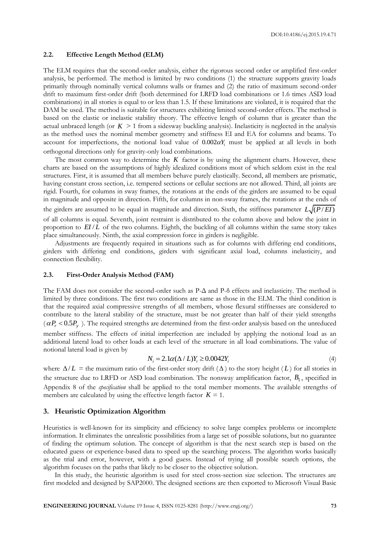#### **2.2. Effective Length Method (ELM)**

The ELM requires that the second-order analysis, either the rigorous second order or amplified first-order analysis, be performed. The method is limited by two conditions (1) the structure supports gravity loads primarily through nominally vertical columns walls or frames and (2) the ratio of maximum second-order drift to maximum first-order drift (both determined for LRFD load combinations or 1.6 times ASD load combinations) in all stories is equal to or less than 1.5. If these limitations are violated, it is required that the DAM be used. The method is suitable for structures exhibiting limited second-order effects. The method is based on the elastic or inelastic stability theory. The effective length of column that is greater than the actual unbraced length (or  $K > 1$  from a sidesway buckling analysis). Inelasticity is neglected in the analysis as the method uses the nominal member geometry and stiffness EI and EA for columns and beams. To account for imperfections, the notional load value of  $0.002\alpha Y_i$  must be applied at all levels in both orthogonal directions only for gravity-only load combinations.

The most common way to determine the  $K$  factor is by using the alignment charts. However, these charts are based on the assumptions of highly idealized conditions most of which seldom exist in the real structures. First, it is assumed that all members behave purely elastically. Second, all members are prismatic, having constant cross section, i.e. tempered sections or cellular sections are not allowed. Third, all joints are rigid. Fourth, for columns in sway frames, the rotations at the ends of the girders are assumed to be equal in magnitude and opposite in direction. Fifth, for columns in non-sway frames, the rotations at the ends of the girders are assumed to be equal in magnitude and direction. Sixth, the stiffness parameter  $L\sqrt{(P/EI)}$ of all columns is equal. Seventh, joint restraint is distributed to the column above and below the joint in proportion to  $E I/L$  of the two columns. Eighth, the buckling of all columns within the same story takes place simultaneously. Ninth, the axial compression force in girders is negligible.

Adjustments are frequently required in situations such as for columns with differing end conditions, girders with differing end conditions, girders with significant axial load, columns inelasticity, and connection flexibility.

#### **2.3. First-Order Analysis Method (FAM)**

The FAM does not consider the second-order such as P-Δ and P-δ effects and inelasticity. The method is limited by three conditions. The first two conditions are same as those in the ELM. The third condition is that the required axial compressive strengths of all members, whose flexural stiffnesses are considered to contribute to the lateral stability of the structure, must be not greater than half of their yield strengths  $(\alpha P_r < 0.5 P_y)$ . The required strengths are determined from the first-order analysis based on the unreduced member stiffness. The effects of initial imperfection are included by applying the notional load as an additional lateral load to other loads at each level of the structure in all load combinations. The value of notional lateral load is given by

$$
N_i = 2.1\alpha(\Delta/L)Y_i \ge 0.0042Y_i
$$
\n<sup>(4)</sup>

where  $\Delta/L$  = the maximum ratio of the first-order story drift ( $\Delta$ ) to the story height (L) for all stories in the structure due to LRFD or ASD load combination. The nonsway amplification factor,  $B_1$ , specified in Appendix 8 of the *specification* shall be applied to the total member moments. The available strengths of members are calculated by using the effective length factor  $K = 1$ .

#### **3. Heuristic Optimization Algorithm**

Heuristics is well-known for its simplicity and efficiency to solve large complex problems or incomplete information. It eliminates the unrealistic possibilities from a large set of possible solutions, but no guarantee of finding the optimum solution. The concept of algorithm is that the next search step is based on the educated guess or experience-based data to speed up the searching process. The algorithm works basically as the trial and error, however, with a good guess. Instead of trying all possible search options, the algorithm focuses on the paths that likely to be closer to the objective solution.

In this study, the heuristic algorithm is used for steel cross-section size selection. The structures are first modeled and designed by SAP2000. The designed sections are then exported to Microsoft Visual Basic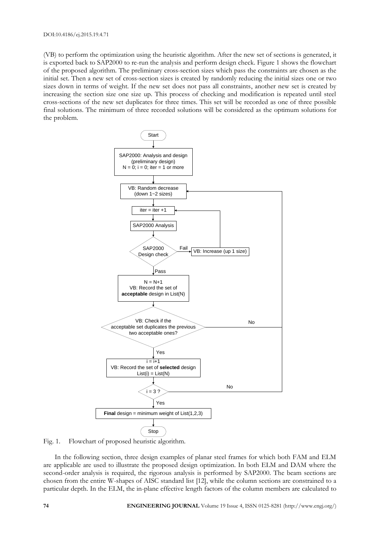(VB) to perform the optimization using the heuristic algorithm. After the new set of sections is generated, it is exported back to SAP2000 to re-run the analysis and perform design check. Figure 1 shows the flowchart of the proposed algorithm. The preliminary cross-section sizes which pass the constraints are chosen as the initial set. Then a new set of cross-section sizes is created by randomly reducing the initial sizes one or two sizes down in terms of weight. If the new set does not pass all constraints, another new set is created by increasing the section size one size up. This process of checking and modification is repeated until steel cross-sections of the new set duplicates for three times. This set will be recorded as one of three possible final solutions. The minimum of three recorded solutions will be considered as the optimum solutions for the problem.



Fig. 1. Flowchart of proposed heuristic algorithm.

In the following section, three design examples of planar steel frames for which both FAM and ELM are applicable are used to illustrate the proposed design optimization. In both ELM and DAM where the second-order analysis is required, the rigorous analysis is performed by SAP2000. The beam sections are chosen from the entire W-shapes of AISC standard list [12], while the column sections are constrained to a particular depth. In the ELM, the in-plane effective length factors of the column members are calculated to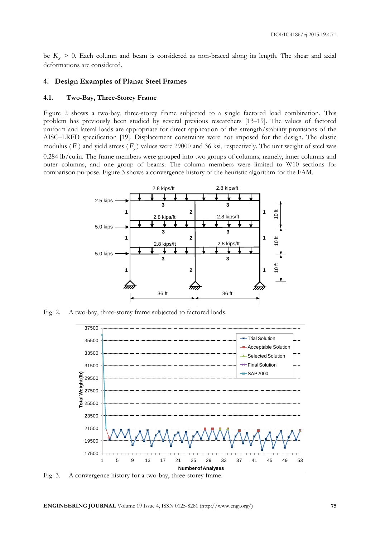be  $K_x > 0$ . Each column and beam is considered as non-braced along its length. The shear and axial deformations are considered.

#### **4. Design Examples of Planar Steel Frames**

#### **4.1. Two-Bay, Three-Storey Frame**

Figure 2 shows a two-bay, three-storey frame subjected to a single factored load combination. This problem has previously been studied by several previous researchers [13–19]. The values of factored uniform and lateral loads are appropriate for direct application of the strength/stability provisions of the AISC–LRFD specification [19]. Displacement constraints were not imposed for the design. The elastic modulus ( *E* ) and yield stress ( *Fy* ) values were 29000 and 36 ksi, respectively. The unit weight of steel was 0.284 lb/cu.in. The frame members were grouped into two groups of columns, namely, inner columns and outer columns, and one group of beams. The column members were limited to W10 sections for comparison purpose. Figure 3 shows a convergence history of the heuristic algorithm for the FAM.



Fig. 2. A two-bay, three-storey frame subjected to factored loads.



Fig. 3. A convergence history for a two-bay, three-storey frame.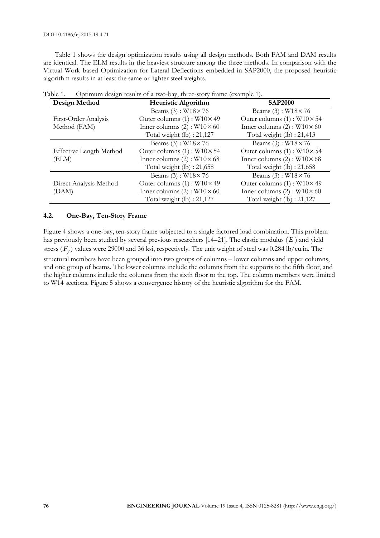Table 1 shows the design optimization results using all design methods. Both FAM and DAM results are identical. The ELM results in the heaviest structure among the three methods. In comparison with the Virtual Work based Optimization for Lateral Deflections embedded in SAP2000, the proposed heuristic algorithm results in at least the same or lighter steel weights.

| Design Method                  | <b>Heuristic Algorithm</b>             | <b>SAP2000</b>                         |
|--------------------------------|----------------------------------------|----------------------------------------|
|                                | Beams $(3)$ : W18 $\times$ 76          | Beams $(3)$ : W18 × 76                 |
| First-Order Analysis           | Outer columns $(1)$ : W10×49           | Outer columns $(1)$ : W10 $\times$ 54  |
| Method (FAM)                   | Inner columns $(2)$ : W $10 \times 60$ | Inner columns $(2)$ : W $10 \times 60$ |
|                                | Total weight (lb) : 21,127             | Total weight (lb) : 21,413             |
|                                | Beams $(3)$ : W $18 \times 76$         | Beams (3): $W18 \times 76$             |
| <b>Effective Length Method</b> | Outer columns $(1)$ : W10 $\times$ 54  | Outer columns $(1)$ : W10×54           |
| (ELM)                          | Inner columns $(2)$ : W10×68           | Inner columns $(2)$ : W10×68           |
|                                | Total weight $(lb)$ : 21,658           | Total weight $(lb)$ : 21,658           |
|                                | Beams $(3)$ : W $18 \times 76$         | Beams $(3)$ : W18 $\times$ 76          |
| Direct Analysis Method         | Outer columns $(1)$ : W10×49           | Outer columns $(1)$ : W10×49           |
| (DAM)                          | Inner columns $(2)$ : W10×60           | Inner columns $(2)$ : W $10 \times 60$ |
|                                | Total weight $(lb)$ : 21,127           | Total weight $(lb)$ : 21,127           |

| Table 1. | Optimum design results of a two-bay, three-story frame (example 1). |  |  |  |  |
|----------|---------------------------------------------------------------------|--|--|--|--|
|          |                                                                     |  |  |  |  |

#### **4.2. One-Bay, Ten-Story Frame**

Figure 4 shows a one-bay, ten-story frame subjected to a single factored load combination. This problem has previously been studied by several previous researchers [14–21]. The elastic modulus ( *E* ) and yield stress ( *Fy* ) values were 29000 and 36 ksi, respectively. The unit weight of steel was 0.284 lb/cu.in. The structural members have been grouped into two groups of columns – lower columns and upper columns, and one group of beams. The lower columns include the columns from the supports to the fifth floor, and the higher columns include the columns from the sixth floor to the top. The column members were limited to W14 sections. Figure 5 shows a convergence history of the heuristic algorithm for the FAM.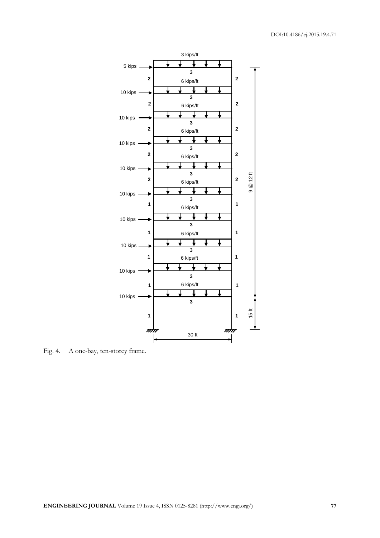

Fig. 4. A one-bay, ten-storey frame.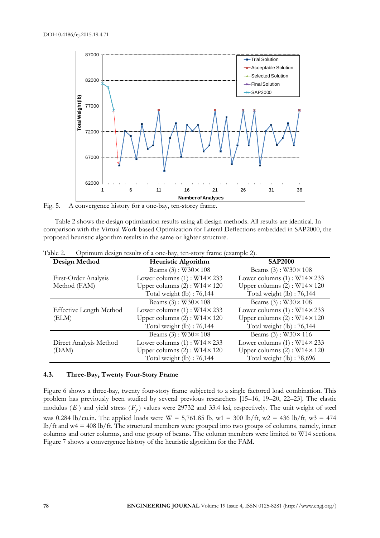

Fig. 5. A convergence history for a one-bay, ten-storey frame.

Table 2 shows the design optimization results using all design methods. All results are identical. In comparison with the Virtual Work based Optimization for Lateral Deflections embedded in SAP2000, the proposed heuristic algorithm results in the same or lighter structure.

| Design Method                  | Heuristic Algorithm                    | <b>SAP2000</b>                         |  |
|--------------------------------|----------------------------------------|----------------------------------------|--|
|                                | Beams $(3)$ : W30×108                  | Beams (3): $W30 \times 108$            |  |
| First-Order Analysis           | Lower columns $(1)$ : W14 $\times$ 233 | Lower columns $(1)$ : W14 $\times$ 233 |  |
| Method (FAM)                   | Upper columns $(2)$ : W14 $\times$ 120 | Upper columns $(2)$ : W14 $\times$ 120 |  |
|                                | Total weight $(lb)$ : 76,144           | Total weight $(lb)$ : 76,144           |  |
|                                | Beams $(3)$ : W $30 \times 108$        | Beams $(3)$ : W $30 \times 108$        |  |
| <b>Effective Length Method</b> | Lower columns $(1)$ : W14 $\times$ 233 | Lower columns $(1)$ : W14 $\times$ 233 |  |
| (ELM)                          | Upper columns $(2)$ : W14 $\times$ 120 | Upper columns $(2)$ : W14 $\times$ 120 |  |
|                                | Total weight $(lb)$ : 76,144           | Total weight (lb): 76,144              |  |
|                                | Beams $(3)$ : W30 $\times$ 108         | Beams $(3)$ : W30×116                  |  |
| Direct Analysis Method         | Lower columns $(1)$ : W14 $\times$ 233 | Lower columns $(1)$ : W14 $\times$ 233 |  |
| (DAM)                          | Upper columns $(2)$ : W14 $\times$ 120 | Upper columns $(2)$ : W14 $\times$ 120 |  |
|                                | Total weight (lb): 76,144              | Total weight (lb): 78,696              |  |

Table 2. Optimum design results of a one-bay, ten-story frame (example 2).

### **4.3. Three-Bay, Twenty Four-Story Frame**

Figure 6 shows a three-bay, twenty four-story frame subjected to a single factored load combination. This problem has previously been studied by several previous researchers [15–16, 19–20, 22–23]. The elastic modulus ( *E* ) and yield stress ( *Fy* ) values were 29732 and 33.4 ksi, respectively. The unit weight of steel was 0.284 lb/cu.in. The applied loads were W = 5,761.85 lb, w1 = 300 lb/ft, w2 = 436 lb/ft, w3 = 474 lb/ft and w4 = 408 lb/ft. The structural members were grouped into two groups of columns, namely, inner columns and outer columns, and one group of beams. The column members were limited to W14 sections. Figure 7 shows a convergence history of the heuristic algorithm for the FAM.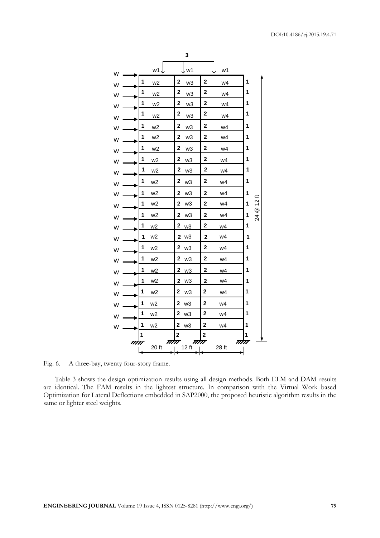

Fig. 6. A three-bay, twenty four-story frame.

Table 3 shows the design optimization results using all design methods. Both ELM and DAM results are identical. The FAM results in the lightest structure. In comparison with the Virtual Work based Optimization for Lateral Deflections embedded in SAP2000, the proposed heuristic algorithm results in the same or lighter steel weights.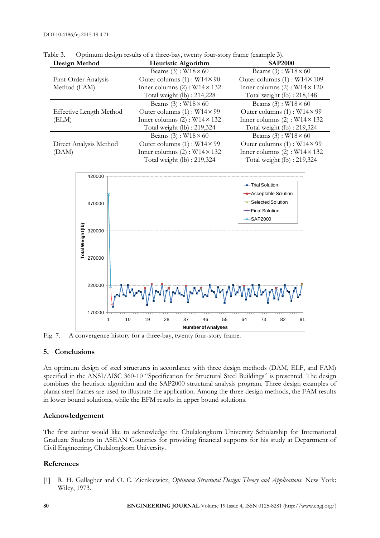| Design Method                  | Heuristic Algorithm                    | <b>SAP2000</b>                         |
|--------------------------------|----------------------------------------|----------------------------------------|
|                                | Beams (3): $W18 \times 60$             | Beams (3): $W18 \times 60$             |
| First-Order Analysis           | Outer columns $(1)$ : W14 $\times$ 90  | Outer columns $(1)$ : W14 × 109        |
| Method (FAM)                   | Inner columns $(2)$ : W14 × 132        | Inner columns $(2)$ : W14 $\times$ 120 |
|                                | Total weight $(lb)$ : 214,228          | Total weight (lb): 218,148             |
|                                | Beams (3): $W18 \times 60$             | Beams $(3)$ : W $18 \times 60$         |
| <b>Effective Length Method</b> | Outer columns $(1)$ : W14 × 99         | Outer columns $(1)$ : W14 $\times$ 99  |
| (ELM)                          | Inner columns $(2)$ : W14 × 132        | Inner columns $(2)$ : W14 $\times$ 132 |
|                                | Total weight (lb) : 219,324            | Total weight (lb): 219,324             |
|                                | Beams (3): $W18 \times 60$             | Beams (3): $W18 \times 60$             |
| Direct Analysis Method         | Outer columns $(1)$ : W14 × 99         | Outer columns $(1)$ : W14 $\times$ 99  |
| (DAM)                          | Inner columns $(2)$ : W14 $\times$ 132 | Inner columns $(2)$ : W14 $\times$ 132 |
|                                | Total weight (lb): 219,324             | Total weight (lb): 219,324             |

Table 3. Optimum design results of a three-bay, twenty four-story frame (example 3).



Fig. 7. A convergence history for a three-bay, twenty four-story frame.

#### **5. Conclusions**

An optimum design of steel structures in accordance with three design methods (DAM, ELF, and FAM) specified in the ANSI/AISC 360-10 "Specification for Structural Steel Buildings" is presented. The design combines the heuristic algorithm and the SAP2000 structural analysis program. Three design examples of planar steel frames are used to illustrate the application. Among the three design methods, the FAM results in lower bound solutions, while the EFM results in upper bound solutions.

#### **Acknowledgement**

The first author would like to acknowledge the Chulalongkorn University Scholarship for International Graduate Students in ASEAN Countries for providing financial supports for his study at Department of Civil Engineering, Chulalongkorn University.

#### **References**

[1] R. H. Gallagher and O. C. Zienkiewicz, *Optimum Structural Design: Theory and Applications*. New York: Wiley, 1973.